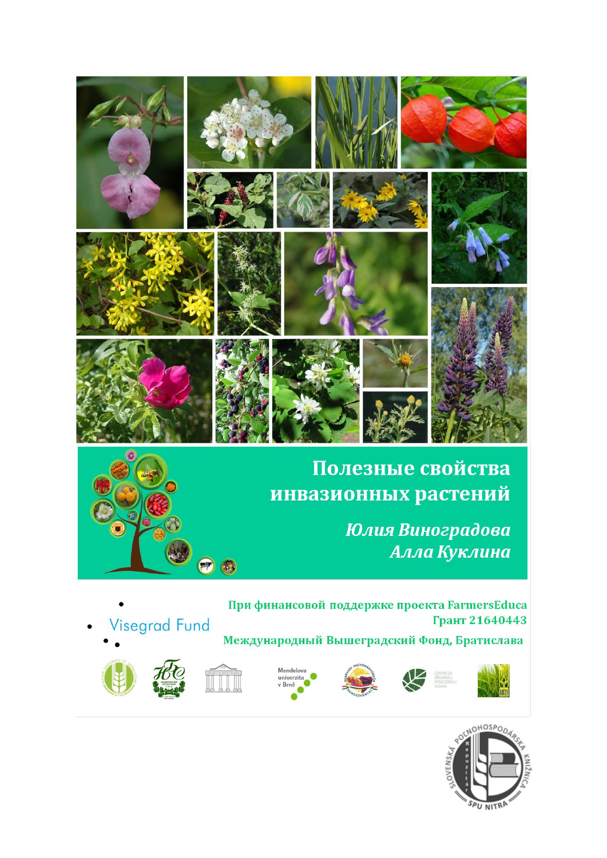

### Полезные свойства инвазионных растений

Юлия Виноградова Алла Куклина

При финансовой поддержке проекта FarmersEduca **Visegrad Fund** Грант 21640443

Международный Вышеградский Фонд, Братислава



**HOSPO** 

SPU NITRP

















































































































 $\bullet$ 













































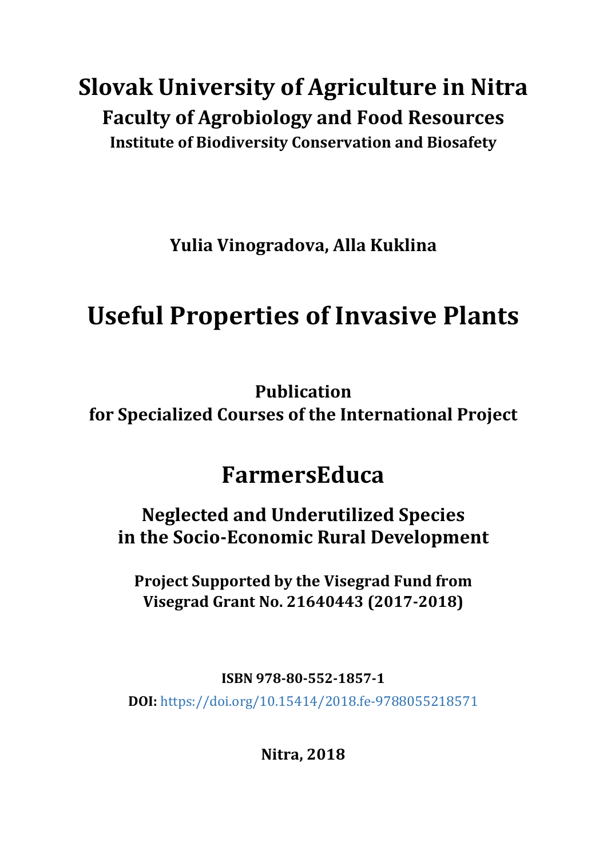## **Slovak University of Agriculture in Nitra Faculty of Agrobiology and Food Resources Institute of Biodiversity Conservation and Biosafety**

**Yulia Vinogradova, Alla Kuklina**

# **Useful Properties of Invasive Plants**

**Publication for Specialized Courses of the International Project**

## **FarmersEduca**

**Neglected and Underutilized Species in the Socio-Economic Rural Development**

**Project Supported by the Visegrad Fund from Visegrad Grant No. 21640443 (2017-2018)**

**ISBN 978-80-552-1857-1**

**DOI:** <https://doi.org/10.15414/2018.fe-9788055218571>

**Nitra, 2018**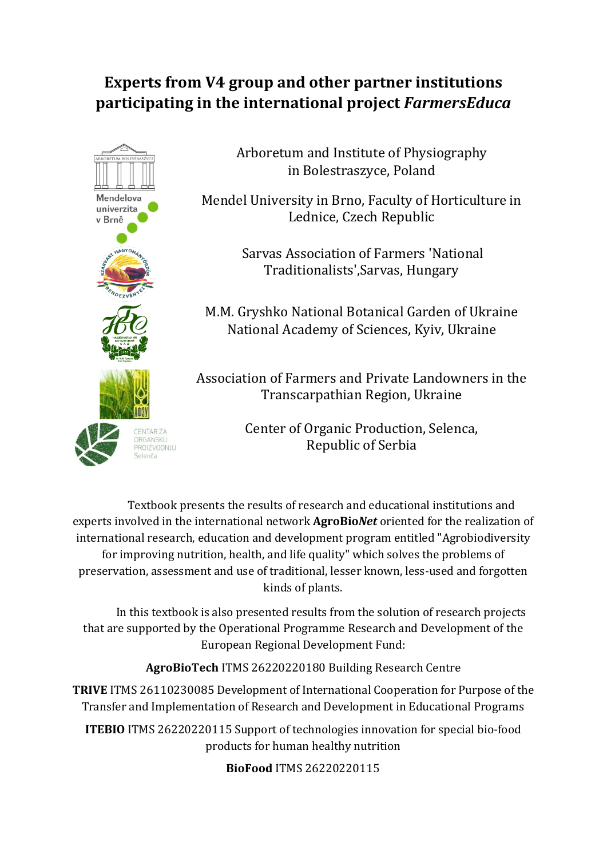#### **Experts from V4 group and other partner institutions participating in the international project** *FarmersEduca*



Arboretum and Institute of Physiography in Bolestraszyce, Poland

Mendel University in Brno, Faculty of Horticulture in Lednice, Czech Republic

> Sarvas Association of Farmers 'National Traditionalists',Sarvas, Hungary

M.M. Gryshko National Botanical Garden of Ukraine National Academy of Sciences, Kyiv, Ukraine

Association of Farmers and Private Landowners in the Transcarpathian Region, Ukraine

> Center of Organic Production, Selenca, Republic of Serbia

Textbook presents the results of research and educational institutions and experts involved in the international network **AgroBio***Net* oriented for the realization of international research, education and development program entitled "Agrobiodiversity for improving nutrition, health, and life quality" which solves the problems of preservation, assessment and use of traditional, lesser known, less-used and forgotten kinds of plants.

In this textbook is also presented results from the solution of research projects that are supported by the Operational Programme Research and Development of the European Regional Development Fund:

**AgroBioTech** ITMS 26220220180 Building Research Centre

**TRIVE** ITMS 26110230085 Development of International Cooperation for Purpose of the Transfer and Implementation of Research and Development in Educational Programs

**ITEBIO** ITMS 26220220115 Support of technologies innovation for special bio-food products for human healthy nutrition

**BioFood** ITMS 26220220115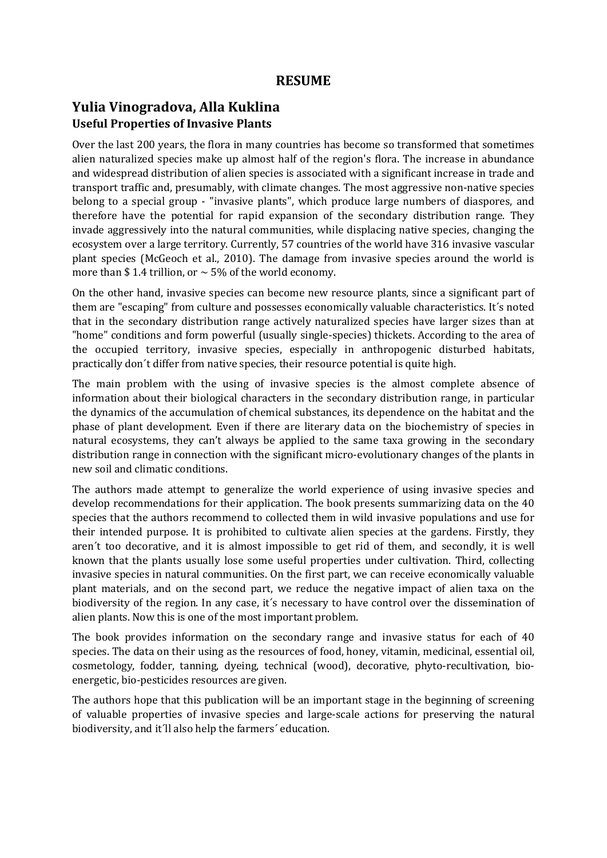#### **Yulia Vinogradova, Alla Kuklina Useful Properties of Invasive Plants**

Over the last 200 years, the flora in many countries has become so transformed that sometimes alien naturalized species make up almost half of the region's flora. The increase in abundance and widespread distribution of alien species is associated with a significant increase in trade and transport traffic and, presumably, with climate changes. The most aggressive non-native species belong to a special group - "invasive plants", which produce large numbers of diaspores, and therefore have the potential for rapid expansion of the secondary distribution range. They invade aggressively into the natural communities, while displacing native species, changing the ecosystem over a large territory. Currently, 57 countries of the world have 316 invasive vascular plant species (McGeoch et al., 2010). The damage from invasive species around the world is more than \$1.4 trillion, or  $\sim$  5% of the world economy.

On the other hand, invasive species can become new resource plants, since a significant part of them are "escaping" from culture and possesses economically valuable characteristics. It´s noted that in the secondary distribution range actively naturalized species have larger sizes than at "home" conditions and form powerful (usually single-species) thickets. According to the area of the occupied territory, invasive species, especially in anthropogenic disturbed habitats, practically don´t differ from native species, their resource potential is quite high.

The main problem with the using of invasive species is the almost complete absence of information about their biological characters in the secondary distribution range, in particular the dynamics of the accumulation of chemical substances, its dependence on the habitat and the phase of plant development. Even if there are literary data on the biochemistry of species in natural ecosystems, they can't always be applied to the same taxa growing in the secondary distribution range in connection with the significant micro-evolutionary changes of the plants in new soil and climatic conditions.

The authors made attempt to generalize the world experience of using invasive species and develop recommendations for their application. The book presents summarizing data on the 40 species that the authors recommend to collected them in wild invasive populations and use for their intended purpose. It is prohibited to cultivate alien species at the gardens. Firstly, they aren´t too decorative, and it is almost impossible to get rid of them, and secondly, it is well known that the plants usually lose some useful properties under cultivation. Third, collecting invasive species in natural communities. On the first part, we can receive economically valuable plant materials, and on the second part, we reduce the negative impact of alien taxa on the biodiversity of the region. In any case, it´s necessary to have control over the dissemination of alien plants. Now this is one of the most important problem.

The book provides information on the secondary range and invasive status for each of 40 species. The data on their using as the resources of food, honey, vitamin, medicinal, essential oil, cosmetology, fodder, tanning, dyeing, technical (wood), decorative, phyto-recultivation, bioenergetic, bio-pesticides resources are given.

The authors hope that this publication will be an important stage in the beginning of screening of valuable properties of invasive species and large-scale actions for preserving the natural biodiversity, and it´ll also help the farmers´ education.